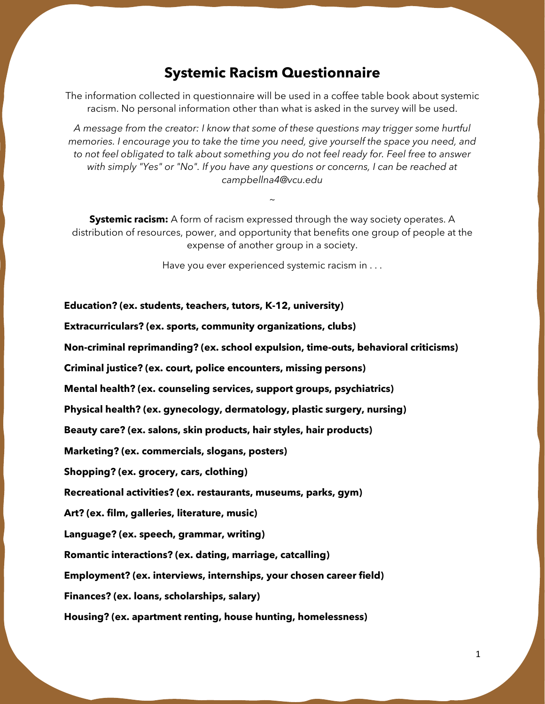## **Systemic Racism Questionnaire**

The information collected in questionnaire will be used in a coffee table book about systemic racism. No personal information other than what is asked in the survey will be used.

*A message from the creator: I know that some of these questions may trigger some hurtful memories. I encourage you to take the time you need, give yourself the space you need, and to not feel obligated to talk about something you do not feel ready for. Feel free to answer with simply "Yes" or "No". If you have any questions or concerns, I can be reached at campbellna4@vcu.edu*

**Systemic racism:** A form of racism expressed through the way society operates. A distribution of resources, power, and opportunity that benefits one group of people at the expense of another group in a society.

 $\ddot{\phantom{0}}$ 

Have you ever experienced systemic racism in . . .

## **Education? (ex. students, teachers, tutors, K-12, university)**

**Extracurriculars? (ex. sports, community organizations, clubs)**

**Non-criminal reprimanding? (ex. school expulsion, time-outs, behavioral criticisms)**

**Criminal justice? (ex. court, police encounters, missing persons)**

**Mental health? (ex. counseling services, support groups, psychiatrics)**

**Physical health? (ex. gynecology, dermatology, plastic surgery, nursing)**

**Beauty care? (ex. salons, skin products, hair styles, hair products)**

**Marketing? (ex. commercials, slogans, posters)**

**Shopping? (ex. grocery, cars, clothing)**

**Recreational activities? (ex. restaurants, museums, parks, gym)**

**Art? (ex. film, galleries, literature, music)**

**Language? (ex. speech, grammar, writing)**

**Romantic interactions? (ex. dating, marriage, catcalling)**

**Employment? (ex. interviews, internships, your chosen career field)**

**Finances? (ex. loans, scholarships, salary)**

**Housing? (ex. apartment renting, house hunting, homelessness)**